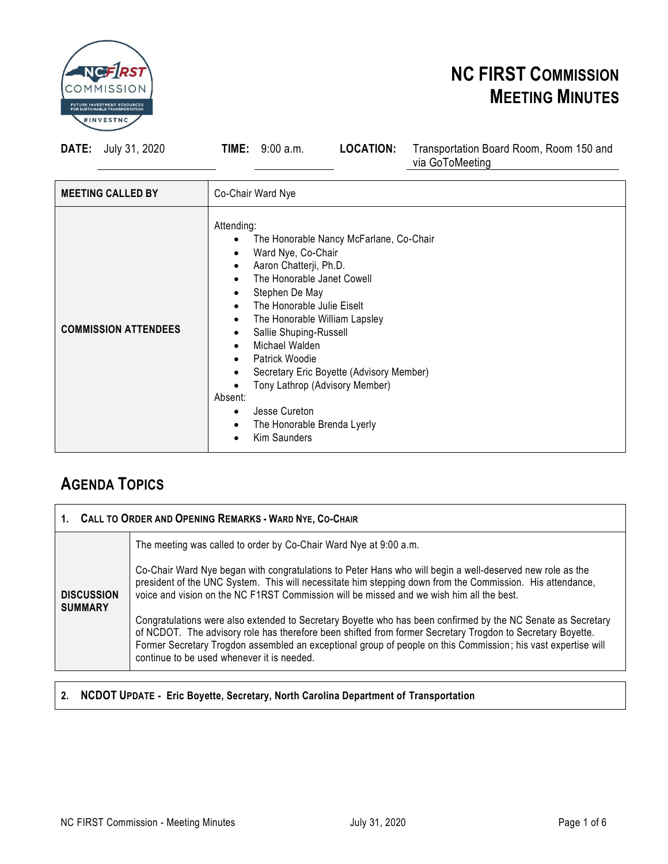

**DATE:** July 31, 2020 **TIME:** 9:00 a.m. **LOCATION:** Transportation Board Room, Room 150 and

via GoToMeeting

| <b>MEETING CALLED BY</b>    | Co-Chair Ward Nye                                                                                                                                                                                                                                                                                                                                                                                                                                               |
|-----------------------------|-----------------------------------------------------------------------------------------------------------------------------------------------------------------------------------------------------------------------------------------------------------------------------------------------------------------------------------------------------------------------------------------------------------------------------------------------------------------|
| <b>COMMISSION ATTENDEES</b> | Attending:<br>The Honorable Nancy McFarlane, Co-Chair<br>$\bullet$<br>Ward Nye, Co-Chair<br>Aaron Chatterji, Ph.D.<br>The Honorable Janet Cowell<br>Stephen De May<br>The Honorable Julie Eiselt<br>The Honorable William Lapsley<br>Sallie Shuping-Russell<br>Michael Walden<br><b>Patrick Woodie</b><br>Secretary Eric Boyette (Advisory Member)<br>Tony Lathrop (Advisory Member)<br>Absent:<br>Jesse Cureton<br>The Honorable Brenda Lyerly<br>Kim Saunders |

#### **AGENDA TOPICS**

| 1. CALL TO ORDER AND OPENING REMARKS - WARD NYE, CO-CHAIR |                                                                                                                                                                                                                                                                                                                                                                                                                                                                                                                                                                                                                                                                                                                 |
|-----------------------------------------------------------|-----------------------------------------------------------------------------------------------------------------------------------------------------------------------------------------------------------------------------------------------------------------------------------------------------------------------------------------------------------------------------------------------------------------------------------------------------------------------------------------------------------------------------------------------------------------------------------------------------------------------------------------------------------------------------------------------------------------|
|                                                           | The meeting was called to order by Co-Chair Ward Nye at 9:00 a.m.                                                                                                                                                                                                                                                                                                                                                                                                                                                                                                                                                                                                                                               |
| <b>DISCUSSION</b><br><b>SUMMARY</b>                       | Co-Chair Ward Nye began with congratulations to Peter Hans who will begin a well-deserved new role as the<br>president of the UNC System. This will necessitate him stepping down from the Commission. His attendance,<br>voice and vision on the NC F1RST Commission will be missed and we wish him all the best.<br>Congratulations were also extended to Secretary Boyette who has been confirmed by the NC Senate as Secretary<br>of NCDOT. The advisory role has therefore been shifted from former Secretary Trogdon to Secretary Boyette.<br>Former Secretary Trogdon assembled an exceptional group of people on this Commission; his vast expertise will<br>continue to be used whenever it is needed. |
|                                                           |                                                                                                                                                                                                                                                                                                                                                                                                                                                                                                                                                                                                                                                                                                                 |

#### **2. NCDOT UPDATE - Eric Boyette, Secretary, North Carolina Department of Transportation**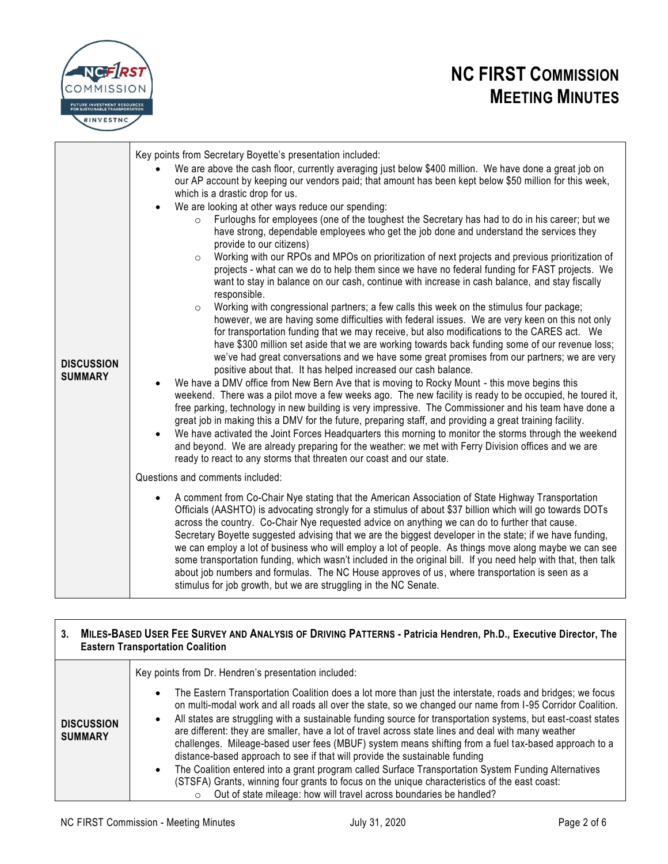

| <b>DISCUSSION</b><br><b>SUMMARY</b> | Key points from Secretary Boyette's presentation included:<br>We are above the cash floor, currently averaging just below \$400 million. We have done a great job on<br>our AP account by keeping our vendors paid; that amount has been kept below \$50 million for this week,<br>which is a drastic drop for us.<br>We are looking at other ways reduce our spending:<br>$\bullet$<br>Furloughs for employees (one of the toughest the Secretary has had to do in his career; but we<br>$\circ$<br>have strong, dependable employees who get the job done and understand the services they<br>provide to our citizens)<br>Working with our RPOs and MPOs on prioritization of next projects and previous prioritization of<br>$\circ$<br>projects - what can we do to help them since we have no federal funding for FAST projects. We<br>want to stay in balance on our cash, continue with increase in cash balance, and stay fiscally<br>responsible.<br>Working with congressional partners; a few calls this week on the stimulus four package;<br>$\circ$<br>however, we are having some difficulties with federal issues. We are very keen on this not only<br>for transportation funding that we may receive, but also modifications to the CARES act. We<br>have \$300 million set aside that we are working towards back funding some of our revenue loss;<br>we've had great conversations and we have some great promises from our partners; we are very<br>positive about that. It has helped increased our cash balance.<br>We have a DMV office from New Bern Ave that is moving to Rocky Mount - this move begins this<br>weekend. There was a pilot move a few weeks ago. The new facility is ready to be occupied, he toured it,<br>free parking, technology in new building is very impressive. The Commissioner and his team have done a<br>great job in making this a DMV for the future, preparing staff, and providing a great training facility.<br>We have activated the Joint Forces Headquarters this morning to monitor the storms through the weekend<br>$\bullet$<br>and beyond. We are already preparing for the weather: we met with Ferry Division offices and we are<br>ready to react to any storms that threaten our coast and our state. |
|-------------------------------------|---------------------------------------------------------------------------------------------------------------------------------------------------------------------------------------------------------------------------------------------------------------------------------------------------------------------------------------------------------------------------------------------------------------------------------------------------------------------------------------------------------------------------------------------------------------------------------------------------------------------------------------------------------------------------------------------------------------------------------------------------------------------------------------------------------------------------------------------------------------------------------------------------------------------------------------------------------------------------------------------------------------------------------------------------------------------------------------------------------------------------------------------------------------------------------------------------------------------------------------------------------------------------------------------------------------------------------------------------------------------------------------------------------------------------------------------------------------------------------------------------------------------------------------------------------------------------------------------------------------------------------------------------------------------------------------------------------------------------------------------------------------------------------------------------------------------------------------------------------------------------------------------------------------------------------------------------------------------------------------------------------------------------------------------------------------------------------------------------------------------------------------------------------------------------------------------------------------------------------------------------------------------------------|
|                                     | Questions and comments included:                                                                                                                                                                                                                                                                                                                                                                                                                                                                                                                                                                                                                                                                                                                                                                                                                                                                                                                                                                                                                                                                                                                                                                                                                                                                                                                                                                                                                                                                                                                                                                                                                                                                                                                                                                                                                                                                                                                                                                                                                                                                                                                                                                                                                                                |
|                                     | A comment from Co-Chair Nye stating that the American Association of State Highway Transportation<br>Officials (AASHTO) is advocating strongly for a stimulus of about \$37 billion which will go towards DOTs<br>across the country. Co-Chair Nye requested advice on anything we can do to further that cause.<br>Secretary Boyette suggested advising that we are the biggest developer in the state; if we have funding,<br>we can employ a lot of business who will employ a lot of people. As things move along maybe we can see<br>some transportation funding, which wasn't included in the original bill. If you need help with that, then talk<br>about job numbers and formulas. The NC House approves of us, where transportation is seen as a<br>stimulus for job growth, but we are struggling in the NC Senate.                                                                                                                                                                                                                                                                                                                                                                                                                                                                                                                                                                                                                                                                                                                                                                                                                                                                                                                                                                                                                                                                                                                                                                                                                                                                                                                                                                                                                                                  |

#### 3. MILES-BASED USER FEE SURVEY AND ANALYSIS OF DRIVING PATTERNS - Patricia Hendren, Ph.D., Executive Director, The **Eastern Transportation Coalition**

|                                     | Key points from Dr. Hendren's presentation included:                                                                                                                                                                                                                                                                                                                                                                                                                                                                                                                                                                                                                                                                                                                                                                                                                                                                                                   |
|-------------------------------------|--------------------------------------------------------------------------------------------------------------------------------------------------------------------------------------------------------------------------------------------------------------------------------------------------------------------------------------------------------------------------------------------------------------------------------------------------------------------------------------------------------------------------------------------------------------------------------------------------------------------------------------------------------------------------------------------------------------------------------------------------------------------------------------------------------------------------------------------------------------------------------------------------------------------------------------------------------|
| <b>DISCUSSION</b><br><b>SUMMARY</b> | The Eastern Transportation Coalition does a lot more than just the interstate, roads and bridges; we focus<br>$\bullet$<br>on multi-modal work and all roads all over the state, so we changed our name from I-95 Corridor Coalition.<br>All states are struggling with a sustainable funding source for transportation systems, but east-coast states<br>٠<br>are different: they are smaller, have a lot of travel across state lines and deal with many weather<br>challenges. Mileage-based user fees (MBUF) system means shifting from a fuel tax-based approach to a<br>distance-based approach to see if that will provide the sustainable funding<br>The Coalition entered into a grant program called Surface Transportation System Funding Alternatives<br>$\bullet$<br>(STSFA) Grants, winning four grants to focus on the unique characteristics of the east coast:<br>Out of state mileage: how will travel across boundaries be handled? |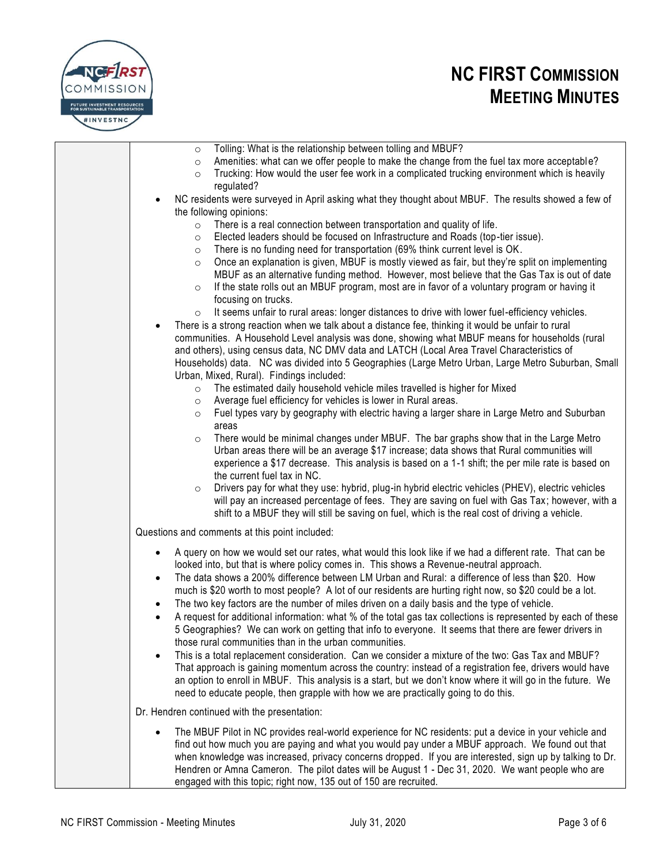

| Tolling: What is the relationship between tolling and MBUF?<br>$\circ$<br>Amenities: what can we offer people to make the change from the fuel tax more acceptable?<br>$\circ$<br>Trucking: How would the user fee work in a complicated trucking environment which is heavily<br>$\circ$<br>regulated?                                                                                                                                                                                                                                                                                                                                                                                                                                                                                                                                                                                                                                                                                                                                                                                                                                                                                                                                                                                                                                                               |
|-----------------------------------------------------------------------------------------------------------------------------------------------------------------------------------------------------------------------------------------------------------------------------------------------------------------------------------------------------------------------------------------------------------------------------------------------------------------------------------------------------------------------------------------------------------------------------------------------------------------------------------------------------------------------------------------------------------------------------------------------------------------------------------------------------------------------------------------------------------------------------------------------------------------------------------------------------------------------------------------------------------------------------------------------------------------------------------------------------------------------------------------------------------------------------------------------------------------------------------------------------------------------------------------------------------------------------------------------------------------------|
| NC residents were surveyed in April asking what they thought about MBUF. The results showed a few of<br>the following opinions:                                                                                                                                                                                                                                                                                                                                                                                                                                                                                                                                                                                                                                                                                                                                                                                                                                                                                                                                                                                                                                                                                                                                                                                                                                       |
| There is a real connection between transportation and quality of life.<br>$\circ$<br>Elected leaders should be focused on Infrastructure and Roads (top-tier issue).<br>$\circ$<br>There is no funding need for transportation (69% think current level is OK.<br>$\circ$<br>Once an explanation is given, MBUF is mostly viewed as fair, but they're split on implementing<br>$\circ$<br>MBUF as an alternative funding method. However, most believe that the Gas Tax is out of date<br>If the state rolls out an MBUF program, most are in favor of a voluntary program or having it<br>$\circ$<br>focusing on trucks.<br>It seems unfair to rural areas: longer distances to drive with lower fuel-efficiency vehicles.<br>$\circ$<br>There is a strong reaction when we talk about a distance fee, thinking it would be unfair to rural<br>communities. A Household Level analysis was done, showing what MBUF means for households (rural<br>and others), using census data, NC DMV data and LATCH (Local Area Travel Characteristics of<br>Households) data. NC was divided into 5 Geographies (Large Metro Urban, Large Metro Suburban, Small<br>Urban, Mixed, Rural). Findings included:<br>The estimated daily household vehicle miles travelled is higher for Mixed<br>$\circ$<br>Average fuel efficiency for vehicles is lower in Rural areas.<br>$\circ$ |
| Fuel types vary by geography with electric having a larger share in Large Metro and Suburban<br>$\circ$<br>areas<br>There would be minimal changes under MBUF. The bar graphs show that in the Large Metro<br>$\circ$<br>Urban areas there will be an average \$17 increase; data shows that Rural communities will<br>experience a \$17 decrease. This analysis is based on a 1-1 shift; the per mile rate is based on<br>the current fuel tax in NC.<br>Drivers pay for what they use: hybrid, plug-in hybrid electric vehicles (PHEV), electric vehicles<br>$\circ$<br>will pay an increased percentage of fees. They are saving on fuel with Gas Tax; however, with a<br>shift to a MBUF they will still be saving on fuel, which is the real cost of driving a vehicle.                                                                                                                                                                                                                                                                                                                                                                                                                                                                                                                                                                                          |
| Questions and comments at this point included:                                                                                                                                                                                                                                                                                                                                                                                                                                                                                                                                                                                                                                                                                                                                                                                                                                                                                                                                                                                                                                                                                                                                                                                                                                                                                                                        |
| A query on how we would set our rates, what would this look like if we had a different rate. That can be<br>$\bullet$<br>looked into, but that is where policy comes in. This shows a Revenue-neutral approach.<br>The data shows a 200% difference between LM Urban and Rural: a difference of less than \$20. How<br>٠<br>much is \$20 worth to most people? A lot of our residents are hurting right now, so \$20 could be a lot.<br>The two key factors are the number of miles driven on a daily basis and the type of vehicle.<br>A request for additional information: what % of the total gas tax collections is represented by each of these<br>5 Geographies? We can work on getting that info to everyone. It seems that there are fewer drivers in<br>those rural communities than in the urban communities.<br>This is a total replacement consideration. Can we consider a mixture of the two: Gas Tax and MBUF?<br>$\bullet$                                                                                                                                                                                                                                                                                                                                                                                                                           |
| That approach is gaining momentum across the country: instead of a registration fee, drivers would have<br>an option to enroll in MBUF. This analysis is a start, but we don't know where it will go in the future. We<br>need to educate people, then grapple with how we are practically going to do this.                                                                                                                                                                                                                                                                                                                                                                                                                                                                                                                                                                                                                                                                                                                                                                                                                                                                                                                                                                                                                                                          |
| Dr. Hendren continued with the presentation:                                                                                                                                                                                                                                                                                                                                                                                                                                                                                                                                                                                                                                                                                                                                                                                                                                                                                                                                                                                                                                                                                                                                                                                                                                                                                                                          |
| The MBUF Pilot in NC provides real-world experience for NC residents: put a device in your vehicle and<br>find out how much you are paying and what you would pay under a MBUF approach. We found out that<br>when knowledge was increased, privacy concerns dropped. If you are interested, sign up by talking to Dr.<br>Hendren or Amna Cameron. The pilot dates will be August 1 - Dec 31, 2020. We want people who are                                                                                                                                                                                                                                                                                                                                                                                                                                                                                                                                                                                                                                                                                                                                                                                                                                                                                                                                            |

engaged with this topic; right now, 135 out of 150 are recruited.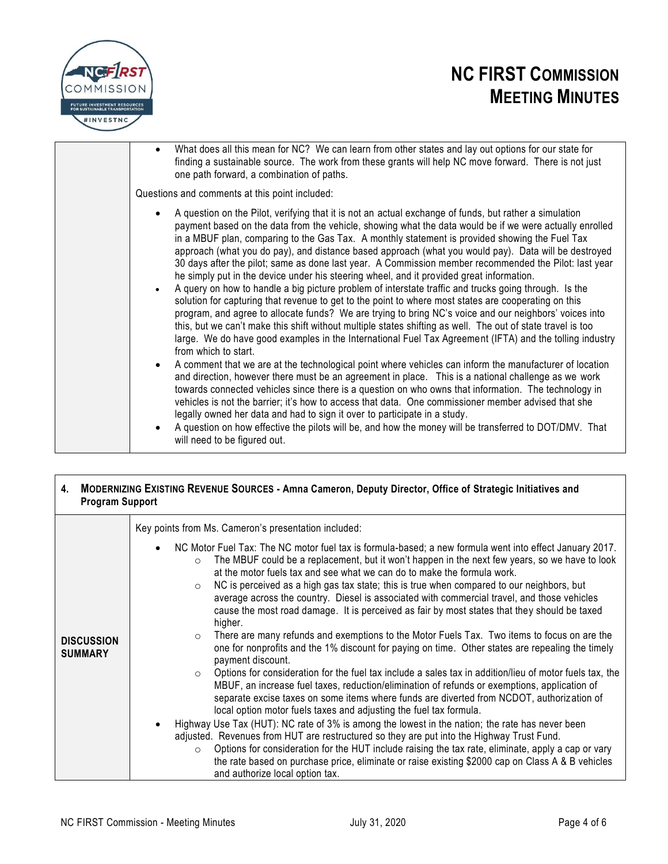

| What does all this mean for NC? We can learn from other states and lay out options for our state for<br>$\bullet$<br>finding a sustainable source. The work from these grants will help NC move forward. There is not just<br>one path forward, a combination of paths.                                                                                                                                                                                                                                                                                                                                                                                                                                                                                                                                                                                                                                                                                                                                                                                                                                                                                                                                                                                                                                                                                                                                                                                                                                                                                                                                                                                                                |
|----------------------------------------------------------------------------------------------------------------------------------------------------------------------------------------------------------------------------------------------------------------------------------------------------------------------------------------------------------------------------------------------------------------------------------------------------------------------------------------------------------------------------------------------------------------------------------------------------------------------------------------------------------------------------------------------------------------------------------------------------------------------------------------------------------------------------------------------------------------------------------------------------------------------------------------------------------------------------------------------------------------------------------------------------------------------------------------------------------------------------------------------------------------------------------------------------------------------------------------------------------------------------------------------------------------------------------------------------------------------------------------------------------------------------------------------------------------------------------------------------------------------------------------------------------------------------------------------------------------------------------------------------------------------------------------|
| Questions and comments at this point included:                                                                                                                                                                                                                                                                                                                                                                                                                                                                                                                                                                                                                                                                                                                                                                                                                                                                                                                                                                                                                                                                                                                                                                                                                                                                                                                                                                                                                                                                                                                                                                                                                                         |
| A question on the Pilot, verifying that it is not an actual exchange of funds, but rather a simulation<br>$\bullet$<br>payment based on the data from the vehicle, showing what the data would be if we were actually enrolled<br>in a MBUF plan, comparing to the Gas Tax. A monthly statement is provided showing the Fuel Tax<br>approach (what you do pay), and distance based approach (what you would pay). Data will be destroyed<br>30 days after the pilot; same as done last year. A Commission member recommended the Pilot: last year<br>he simply put in the device under his steering wheel, and it provided great information.<br>A query on how to handle a big picture problem of interstate traffic and trucks going through. Is the<br>$\bullet$<br>solution for capturing that revenue to get to the point to where most states are cooperating on this<br>program, and agree to allocate funds? We are trying to bring NC's voice and our neighbors' voices into<br>this, but we can't make this shift without multiple states shifting as well. The out of state travel is too<br>large. We do have good examples in the International Fuel Tax Agreement (IFTA) and the tolling industry<br>from which to start.<br>A comment that we are at the technological point where vehicles can inform the manufacturer of location<br>$\bullet$<br>and direction, however there must be an agreement in place.  This is a national challenge as we work<br>towards connected vehicles since there is a question on who owns that information. The technology in<br>vehicles is not the barrier; it's how to access that data. One commissioner member advised that she |
| legally owned her data and had to sign it over to participate in a study.<br>A question on how effective the pilots will be, and how the money will be transferred to DOT/DMV. That<br>$\bullet$<br>will need to be figured out.                                                                                                                                                                                                                                                                                                                                                                                                                                                                                                                                                                                                                                                                                                                                                                                                                                                                                                                                                                                                                                                                                                                                                                                                                                                                                                                                                                                                                                                       |

#### **4. MODERNIZING EXISTING REVENUE SOURCES - Amna Cameron, Deputy Director, Office of Strategic Initiatives and Program Support**

|                                     | Key points from Ms. Cameron's presentation included:                                                                                                                                                                                                                                                                                                                                                                                                                                                                                                                                                                                                                                                                                                                                                                                                                                                                                                                                                                                                                                                                                                                                                                                                                                                                                                                                                                                                                                                                                                                                                                                                                                                                            |
|-------------------------------------|---------------------------------------------------------------------------------------------------------------------------------------------------------------------------------------------------------------------------------------------------------------------------------------------------------------------------------------------------------------------------------------------------------------------------------------------------------------------------------------------------------------------------------------------------------------------------------------------------------------------------------------------------------------------------------------------------------------------------------------------------------------------------------------------------------------------------------------------------------------------------------------------------------------------------------------------------------------------------------------------------------------------------------------------------------------------------------------------------------------------------------------------------------------------------------------------------------------------------------------------------------------------------------------------------------------------------------------------------------------------------------------------------------------------------------------------------------------------------------------------------------------------------------------------------------------------------------------------------------------------------------------------------------------------------------------------------------------------------------|
| <b>DISCUSSION</b><br><b>SUMMARY</b> | NC Motor Fuel Tax: The NC motor fuel tax is formula-based; a new formula went into effect January 2017.<br>$\bullet$<br>The MBUF could be a replacement, but it won't happen in the next few years, so we have to look<br>$\circ$<br>at the motor fuels tax and see what we can do to make the formula work.<br>NC is perceived as a high gas tax state; this is true when compared to our neighbors, but<br>$\circ$<br>average across the country. Diesel is associated with commercial travel, and those vehicles<br>cause the most road damage. It is perceived as fair by most states that they should be taxed<br>higher.<br>There are many refunds and exemptions to the Motor Fuels Tax. Two items to focus on are the<br>$\circ$<br>one for nonprofits and the 1% discount for paying on time. Other states are repealing the timely<br>payment discount.<br>Options for consideration for the fuel tax include a sales tax in addition/lieu of motor fuels tax, the<br>$\circ$<br>MBUF, an increase fuel taxes, reduction/elimination of refunds or exemptions, application of<br>separate excise taxes on some items where funds are diverted from NCDOT, authorization of<br>local option motor fuels taxes and adjusting the fuel tax formula.<br>Highway Use Tax (HUT): NC rate of 3% is among the lowest in the nation; the rate has never been<br>$\bullet$<br>adjusted. Revenues from HUT are restructured so they are put into the Highway Trust Fund.<br>Options for consideration for the HUT include raising the tax rate, eliminate, apply a cap or vary<br>$\circ$<br>the rate based on purchase price, eliminate or raise existing \$2000 cap on Class A & B vehicles<br>and authorize local option tax. |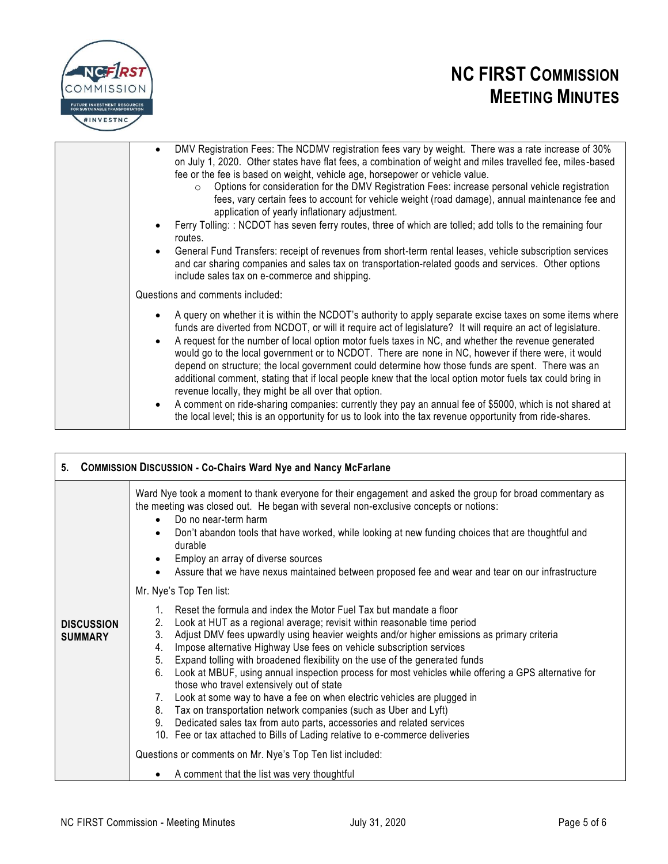

| DMV Registration Fees: The NCDMV registration fees vary by weight. There was a rate increase of 30%<br>$\bullet$<br>on July 1, 2020. Other states have flat fees, a combination of weight and miles travelled fee, miles-based<br>fee or the fee is based on weight, vehicle age, horsepower or vehicle value.<br>Options for consideration for the DMV Registration Fees: increase personal vehicle registration<br>$\circ$<br>fees, vary certain fees to account for vehicle weight (road damage), annual maintenance fee and<br>application of yearly inflationary adjustment.<br>Ferry Tolling: : NCDOT has seven ferry routes, three of which are tolled; add tolls to the remaining four<br>routes.<br>General Fund Transfers: receipt of revenues from short-term rental leases, vehicle subscription services<br>$\bullet$<br>and car sharing companies and sales tax on transportation-related goods and services. Other options<br>include sales tax on e-commerce and shipping. |
|--------------------------------------------------------------------------------------------------------------------------------------------------------------------------------------------------------------------------------------------------------------------------------------------------------------------------------------------------------------------------------------------------------------------------------------------------------------------------------------------------------------------------------------------------------------------------------------------------------------------------------------------------------------------------------------------------------------------------------------------------------------------------------------------------------------------------------------------------------------------------------------------------------------------------------------------------------------------------------------------|
| Questions and comments included:                                                                                                                                                                                                                                                                                                                                                                                                                                                                                                                                                                                                                                                                                                                                                                                                                                                                                                                                                           |
| A query on whether it is within the NCDOT's authority to apply separate excise taxes on some items where<br>$\bullet$<br>funds are diverted from NCDOT, or will it require act of legislature? It will require an act of legislature.<br>A request for the number of local option motor fuels taxes in NC, and whether the revenue generated<br>$\bullet$<br>would go to the local government or to NCDOT. There are none in NC, however if there were, it would<br>depend on structure; the local government could determine how those funds are spent. There was an<br>additional comment, stating that if local people knew that the local option motor fuels tax could bring in<br>revenue locally, they might be all over that option.<br>A comment on ride-sharing companies: currently they pay an annual fee of \$5000, which is not shared at<br>$\bullet$<br>the local level; this is an opportunity for us to look into the tax revenue opportunity from ride-shares.           |

| 5. COMMISSION DISCUSSION - Co-Chairs Ward Nye and Nancy McFarlane |                                                                                                                                                                                                                                                                                                                                                                                                                                                                                                                                                                                                                                                                                                                                                                                                                                                                                                                                                                           |
|-------------------------------------------------------------------|---------------------------------------------------------------------------------------------------------------------------------------------------------------------------------------------------------------------------------------------------------------------------------------------------------------------------------------------------------------------------------------------------------------------------------------------------------------------------------------------------------------------------------------------------------------------------------------------------------------------------------------------------------------------------------------------------------------------------------------------------------------------------------------------------------------------------------------------------------------------------------------------------------------------------------------------------------------------------|
| <b>DISCUSSION</b><br><b>SUMMARY</b>                               | Ward Nye took a moment to thank everyone for their engagement and asked the group for broad commentary as<br>the meeting was closed out. He began with several non-exclusive concepts or notions:<br>Do no near-term harm<br>$\bullet$<br>Don't abandon tools that have worked, while looking at new funding choices that are thoughtful and<br>$\bullet$<br>durable<br>Employ an array of diverse sources<br>$\bullet$<br>Assure that we have nexus maintained between proposed fee and wear and tear on our infrastructure<br>Mr. Nye's Top Ten list:                                                                                                                                                                                                                                                                                                                                                                                                                   |
|                                                                   | Reset the formula and index the Motor Fuel Tax but mandate a floor<br>2.<br>Look at HUT as a regional average; revisit within reasonable time period<br>3.<br>Adjust DMV fees upwardly using heavier weights and/or higher emissions as primary criteria<br>Impose alternative Highway Use fees on vehicle subscription services<br>4.<br>Expand tolling with broadened flexibility on the use of the generated funds<br>5.<br>Look at MBUF, using annual inspection process for most vehicles while offering a GPS alternative for<br>6.<br>those who travel extensively out of state<br>7. Look at some way to have a fee on when electric vehicles are plugged in<br>Tax on transportation network companies (such as Uber and Lyft)<br>8.<br>Dedicated sales tax from auto parts, accessories and related services<br>9.<br>10. Fee or tax attached to Bills of Lading relative to e-commerce deliveries<br>Questions or comments on Mr. Nye's Top Ten list included: |
|                                                                   | A comment that the list was very thoughtful                                                                                                                                                                                                                                                                                                                                                                                                                                                                                                                                                                                                                                                                                                                                                                                                                                                                                                                               |